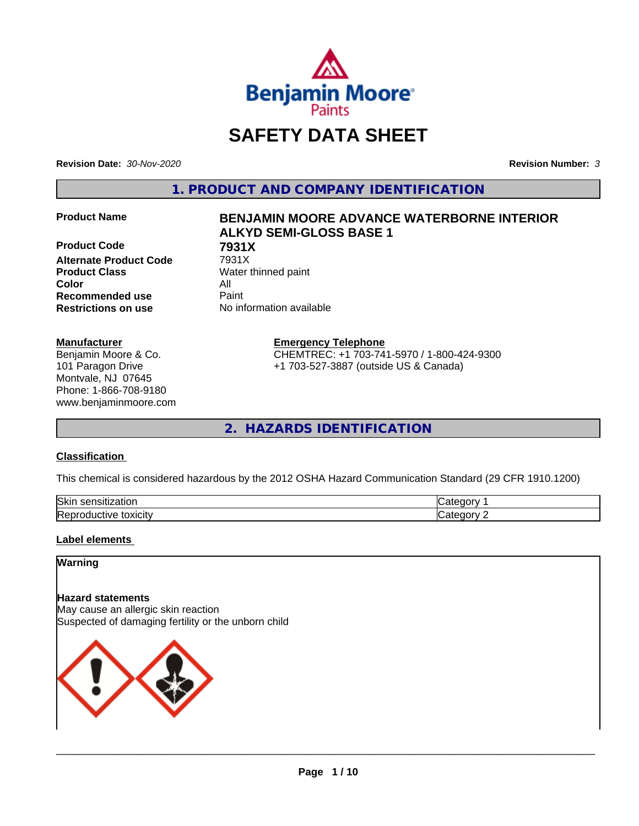

# **SAFETY DATA SHEET**

**Revision Date:** *30-Nov-2020* **Revision Number:** *3*

**1. PRODUCT AND COMPANY IDENTIFICATION**

**Product Code 68 7931X**<br>Alternate Product Code 7931X **Alternate Product Code Product Class** Water thinned paint **Color** All **Recommended use** Paint **Restrictions on use** No information available

# **Manufacturer**

Benjamin Moore & Co. 101 Paragon Drive Montvale, NJ 07645 Phone: 1-866-708-9180 www.benjaminmoore.com

# **Product Name BENJAMIN MOORE ADVANCE WATERBORNE INTERIOR ALKYD SEMI-GLOSS BASE 1**

**Emergency Telephone**

CHEMTREC: +1 703-741-5970 / 1-800-424-9300 +1 703-527-3887 (outside US & Canada)

**2. HAZARDS IDENTIFICATION**

# **Classification**

This chemical is considered hazardous by the 2012 OSHA Hazard Communication Standard (29 CFR 1910.1200)

| Skir<br>.<br>auu<br>יי                                         |     |
|----------------------------------------------------------------|-----|
| 'Rani<br>.<br>.<br><b>UXICIT</b> V<br>™e<br>∍Juu<br>. .<br>. . | --- |

# **Label elements**

# **Warning**

# **Hazard statements**

May cause an allergic skin reaction Suspected of damaging fertility or the unborn child

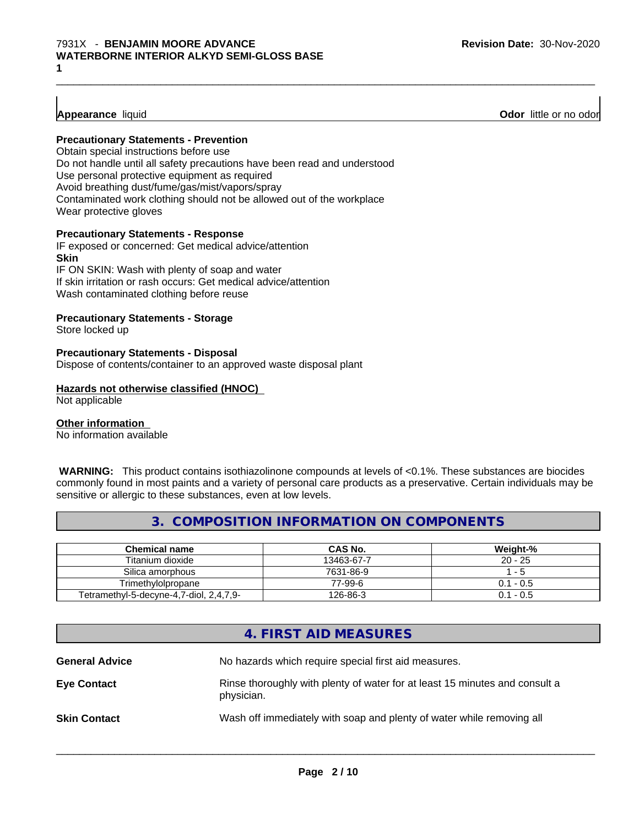# **Appearance** liquid **Odor 11** and **Odor 11** and **Odor 11** and **Odor 11** and **Odor 11** and **Odor 11** and **Odor** 11 and **Odor** 11 and **Odor** 11 and **Odor** 11 and **Odor** 11 and **Odor** 11 and **Odor** 11 and **Odor** 11 and **Odor**

# **Precautionary Statements - Prevention**

Obtain special instructions before use Do not handle until all safety precautions have been read and understood Use personal protective equipment as required Avoid breathing dust/fume/gas/mist/vapors/spray Contaminated work clothing should not be allowed out of the workplace Wear protective gloves

# **Precautionary Statements - Response**

IF exposed or concerned: Get medical advice/attention **Skin** IF ON SKIN: Wash with plenty of soap and water

If skin irritation or rash occurs: Get medical advice/attention Wash contaminated clothing before reuse

# **Precautionary Statements - Storage**

Store locked up

#### **Precautionary Statements - Disposal**

Dispose of contents/container to an approved waste disposal plant

#### **Hazards not otherwise classified (HNOC)**

Not applicable

# **Other information**

No information available

 **WARNING:** This product contains isothiazolinone compounds at levels of <0.1%. These substances are biocides commonly found in most paints and a variety of personal care products as a preservative. Certain individuals may be sensitive or allergic to these substances, even at low levels.

 $\_$  ,  $\_$  ,  $\_$  ,  $\_$  ,  $\_$  ,  $\_$  ,  $\_$  ,  $\_$  ,  $\_$  ,  $\_$  ,  $\_$  ,  $\_$  ,  $\_$  ,  $\_$  ,  $\_$  ,  $\_$  ,  $\_$  ,  $\_$  ,  $\_$  ,  $\_$  ,  $\_$  ,  $\_$  ,  $\_$  ,  $\_$  ,  $\_$  ,  $\_$  ,  $\_$  ,  $\_$  ,  $\_$  ,  $\_$  ,  $\_$  ,  $\_$  ,  $\_$  ,  $\_$  ,  $\_$  ,  $\_$  ,  $\_$  ,

# **3. COMPOSITION INFORMATION ON COMPONENTS**

| <b>Chemical name</b>                    | <b>CAS No.</b> | Weight-%    |
|-----------------------------------------|----------------|-------------|
| Titanium dioxide                        | 13463-67-7     | $20 - 25$   |
| Silica amorphous                        | 7631-86-9      | - 5         |
| Trimethvlolpropane                      | 77-99-6        | $0.1 - 0.5$ |
| Tetramethyl-5-decyne-4,7-diol, 2,4,7,9- | 126-86-3       | $0.1 - 0.5$ |

# **4. FIRST AID MEASURES**

| <b>General Advice</b> | No hazards which require special first aid measures.                                      |
|-----------------------|-------------------------------------------------------------------------------------------|
| <b>Eye Contact</b>    | Rinse thoroughly with plenty of water for at least 15 minutes and consult a<br>physician. |
| <b>Skin Contact</b>   | Wash off immediately with soap and plenty of water while removing all                     |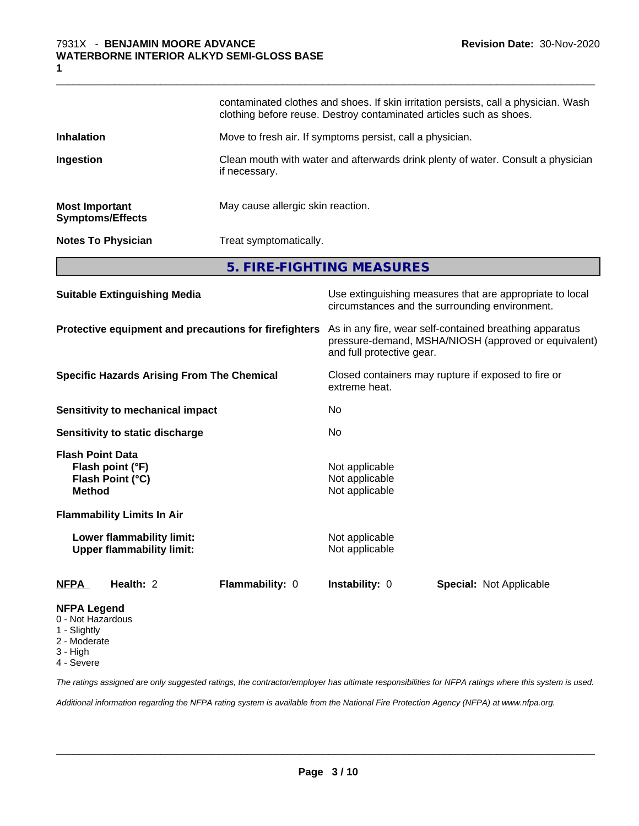|                                                  | 5. FIRE-FIGHTING MEASURES                                                                                                                                  |  |
|--------------------------------------------------|------------------------------------------------------------------------------------------------------------------------------------------------------------|--|
| <b>Notes To Physician</b>                        | Treat symptomatically.                                                                                                                                     |  |
| <b>Most Important</b><br><b>Symptoms/Effects</b> | May cause allergic skin reaction.                                                                                                                          |  |
| Ingestion                                        | Clean mouth with water and afterwards drink plenty of water. Consult a physician<br>if necessary.                                                          |  |
| <b>Inhalation</b>                                | Move to fresh air. If symptoms persist, call a physician.                                                                                                  |  |
|                                                  | contaminated clothes and shoes. If skin irritation persists, call a physician. Wash<br>clothing before reuse. Destroy contaminated articles such as shoes. |  |
|                                                  |                                                                                                                                                            |  |

 $\_$  ,  $\_$  ,  $\_$  ,  $\_$  ,  $\_$  ,  $\_$  ,  $\_$  ,  $\_$  ,  $\_$  ,  $\_$  ,  $\_$  ,  $\_$  ,  $\_$  ,  $\_$  ,  $\_$  ,  $\_$  ,  $\_$  ,  $\_$  ,  $\_$  ,  $\_$  ,  $\_$  ,  $\_$  ,  $\_$  ,  $\_$  ,  $\_$  ,  $\_$  ,  $\_$  ,  $\_$  ,  $\_$  ,  $\_$  ,  $\_$  ,  $\_$  ,  $\_$  ,  $\_$  ,  $\_$  ,  $\_$  ,  $\_$  ,

| <b>Suitable Extinguishing Media</b>                                              | Use extinguishing measures that are appropriate to local<br>circumstances and the surrounding environment.                                   |
|----------------------------------------------------------------------------------|----------------------------------------------------------------------------------------------------------------------------------------------|
| Protective equipment and precautions for firefighters                            | As in any fire, wear self-contained breathing apparatus<br>pressure-demand, MSHA/NIOSH (approved or equivalent)<br>and full protective gear. |
| <b>Specific Hazards Arising From The Chemical</b>                                | Closed containers may rupture if exposed to fire or<br>extreme heat.                                                                         |
| Sensitivity to mechanical impact                                                 | No.                                                                                                                                          |
| Sensitivity to static discharge                                                  | No                                                                                                                                           |
| <b>Flash Point Data</b><br>Flash point (°F)<br>Flash Point (°C)<br><b>Method</b> | Not applicable<br>Not applicable<br>Not applicable                                                                                           |
| <b>Flammability Limits In Air</b>                                                |                                                                                                                                              |
| Lower flammability limit:<br><b>Upper flammability limit:</b>                    | Not applicable<br>Not applicable                                                                                                             |
| Health: 2<br>Flammability: 0<br><b>NFPA</b>                                      | <b>Instability: 0</b><br><b>Special: Not Applicable</b>                                                                                      |
| <b>NFPA Legend</b><br>0 - Not Hazardous                                          |                                                                                                                                              |

- 1 Slightly
- 2 Moderate
- 3 High
- 4 Severe

*The ratings assigned are only suggested ratings, the contractor/employer has ultimate responsibilities for NFPA ratings where this system is used.*

*Additional information regarding the NFPA rating system is available from the National Fire Protection Agency (NFPA) at www.nfpa.org.*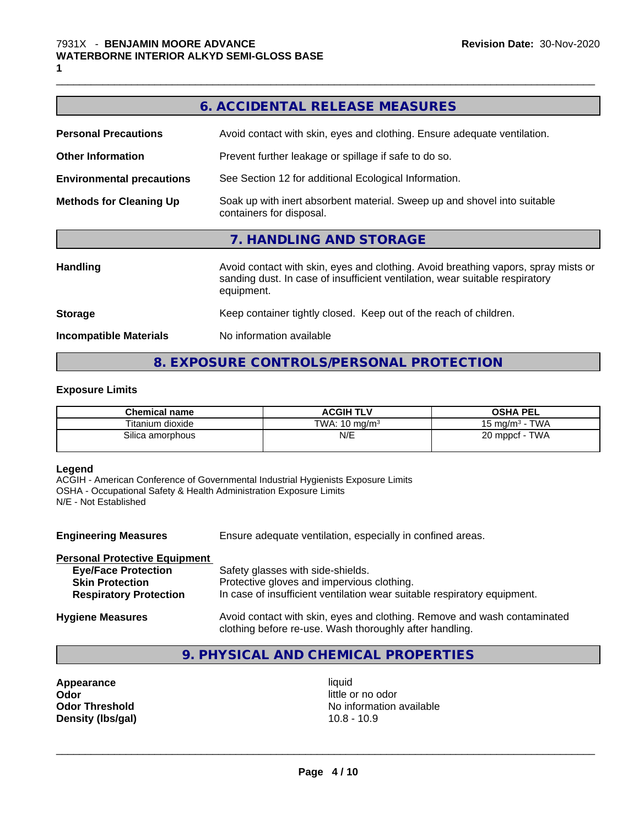|                                  | 6. ACCIDENTAL RELEASE MEASURES                                                                                                                                                   |  |  |
|----------------------------------|----------------------------------------------------------------------------------------------------------------------------------------------------------------------------------|--|--|
| <b>Personal Precautions</b>      | Avoid contact with skin, eyes and clothing. Ensure adequate ventilation.                                                                                                         |  |  |
| <b>Other Information</b>         | Prevent further leakage or spillage if safe to do so.                                                                                                                            |  |  |
| <b>Environmental precautions</b> | See Section 12 for additional Ecological Information.                                                                                                                            |  |  |
| <b>Methods for Cleaning Up</b>   | Soak up with inert absorbent material. Sweep up and shovel into suitable<br>containers for disposal.                                                                             |  |  |
|                                  | 7. HANDLING AND STORAGE                                                                                                                                                          |  |  |
| <b>Handling</b>                  | Avoid contact with skin, eyes and clothing. Avoid breathing vapors, spray mists or<br>sanding dust. In case of insufficient ventilation, wear suitable respiratory<br>equipment. |  |  |
| <b>Storage</b>                   | Keep container tightly closed. Keep out of the reach of children.                                                                                                                |  |  |
| <b>Incompatible Materials</b>    | No information available                                                                                                                                                         |  |  |
|                                  |                                                                                                                                                                                  |  |  |

 $\_$  ,  $\_$  ,  $\_$  ,  $\_$  ,  $\_$  ,  $\_$  ,  $\_$  ,  $\_$  ,  $\_$  ,  $\_$  ,  $\_$  ,  $\_$  ,  $\_$  ,  $\_$  ,  $\_$  ,  $\_$  ,  $\_$  ,  $\_$  ,  $\_$  ,  $\_$  ,  $\_$  ,  $\_$  ,  $\_$  ,  $\_$  ,  $\_$  ,  $\_$  ,  $\_$  ,  $\_$  ,  $\_$  ,  $\_$  ,  $\_$  ,  $\_$  ,  $\_$  ,  $\_$  ,  $\_$  ,  $\_$  ,  $\_$  ,

# **8. EXPOSURE CONTROLS/PERSONAL PROTECTION**

# **Exposure Limits**

| <b>Chemical name</b>    | <b>ACGIH TLV</b>         | <b>OSHA PEL</b>           |
|-------------------------|--------------------------|---------------------------|
| Titanium dioxide        | TWA: $10 \text{ ma/m}^3$ | <b>TWA</b><br>15 mg/m $3$ |
| N/E<br>Silica amorphous |                          | <b>TWA</b><br>20 mppcf    |

# **Legend**

ACGIH - American Conference of Governmental Industrial Hygienists Exposure Limits OSHA - Occupational Safety & Health Administration Exposure Limits N/E - Not Established

| <b>Engineering Measures</b>                                                           | Ensure adequate ventilation, especially in confined areas.                                                                                                  |
|---------------------------------------------------------------------------------------|-------------------------------------------------------------------------------------------------------------------------------------------------------------|
| <b>Personal Protective Equipment</b>                                                  |                                                                                                                                                             |
| <b>Eye/Face Protection</b><br><b>Skin Protection</b><br><b>Respiratory Protection</b> | Safety glasses with side-shields.<br>Protective gloves and impervious clothing.<br>In case of insufficient ventilation wear suitable respiratory equipment. |
| <b>Hygiene Measures</b>                                                               | Avoid contact with skin, eyes and clothing. Remove and wash contaminated<br>clothing before re-use. Wash thoroughly after handling.                         |

# **9. PHYSICAL AND CHEMICAL PROPERTIES**

**Appearance** liquid **Odor**<br> **Odor Threshold**<br> **Odor Threshold**<br> **Odor Threshold**<br> **Odor Threshold Density (lbs/gal)** 10.8 - 10.9

**No information available**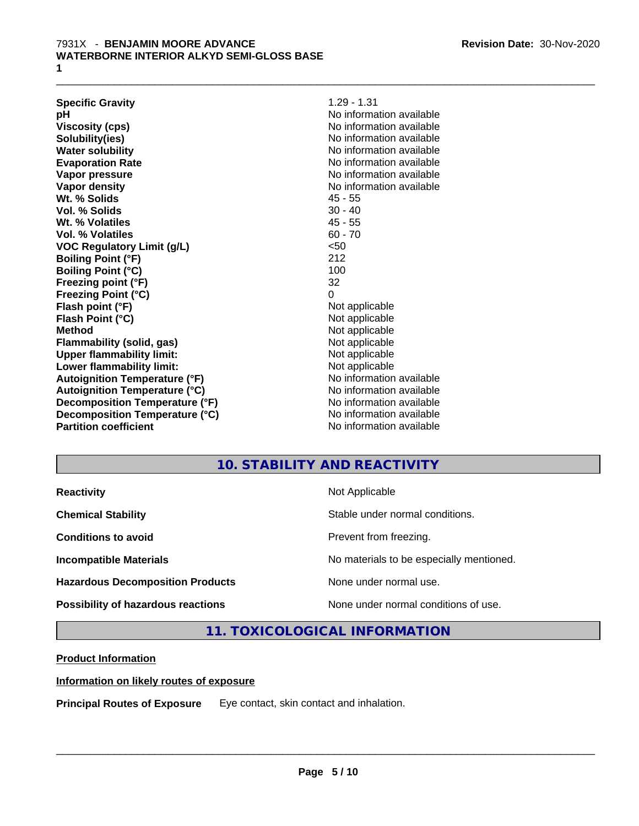**Specific Gravity** 1.29 - 1.31 **pH** No information available **Viscosity (cps)** No information available **Solubility(ies)** No information available **Water solubility** No information available **Evaporation Rate** Note 2008 and 2009 No information available **Vapor pressure** No information available in the North American Monte available in the North American available **Vapor density** No information available values and values of  $\alpha$  No information available **Wt. % Solids** 45 - 55 **Vol. % Solids** 30 - 40 **Wt. % Volatiles** 45 - 55 **Vol. % Volatiles** 60 - 70 **VOC Regulatory Limit (g/L)** <50 **Boiling Point (°F)** 212 **Boiling Point (°C)** 100 **Freezing point (°F)** 32 **Freezing Point (°C)** 0 **Flash point (°F)** Not applicable **Flash Point (°C)** Not applicable **Method** Not applicable **Flammability (solid, gas)** Not applicable **Upper flammability limit:** Not applicable **Lower flammability limit:**<br> **Autoignition Temperature (°F)** Not applicable havailable available **Autoignition Temperature (°F)**<br> **Autoignition Temperature (°C)** No information available **Autoignition Temperature (°C) Decomposition Temperature (°F)** No information available **Decomposition Temperature (°C)**<br> **Partition coefficient**<br> **Partition coefficient**<br> **No** information available

 $\_$  ,  $\_$  ,  $\_$  ,  $\_$  ,  $\_$  ,  $\_$  ,  $\_$  ,  $\_$  ,  $\_$  ,  $\_$  ,  $\_$  ,  $\_$  ,  $\_$  ,  $\_$  ,  $\_$  ,  $\_$  ,  $\_$  ,  $\_$  ,  $\_$  ,  $\_$  ,  $\_$  ,  $\_$  ,  $\_$  ,  $\_$  ,  $\_$  ,  $\_$  ,  $\_$  ,  $\_$  ,  $\_$  ,  $\_$  ,  $\_$  ,  $\_$  ,  $\_$  ,  $\_$  ,  $\_$  ,  $\_$  ,  $\_$  ,

**No information available** 

# **10. STABILITY AND REACTIVITY**

| <b>Reactivity</b>                         | Not Applicable                           |
|-------------------------------------------|------------------------------------------|
| <b>Chemical Stability</b>                 | Stable under normal conditions.          |
| <b>Conditions to avoid</b>                | Prevent from freezing.                   |
| <b>Incompatible Materials</b>             | No materials to be especially mentioned. |
| <b>Hazardous Decomposition Products</b>   | None under normal use.                   |
| <b>Possibility of hazardous reactions</b> | None under normal conditions of use.     |

**11. TOXICOLOGICAL INFORMATION**

# **Product Information**

# **Information on likely routes of exposure**

**Principal Routes of Exposure** Eye contact, skin contact and inhalation.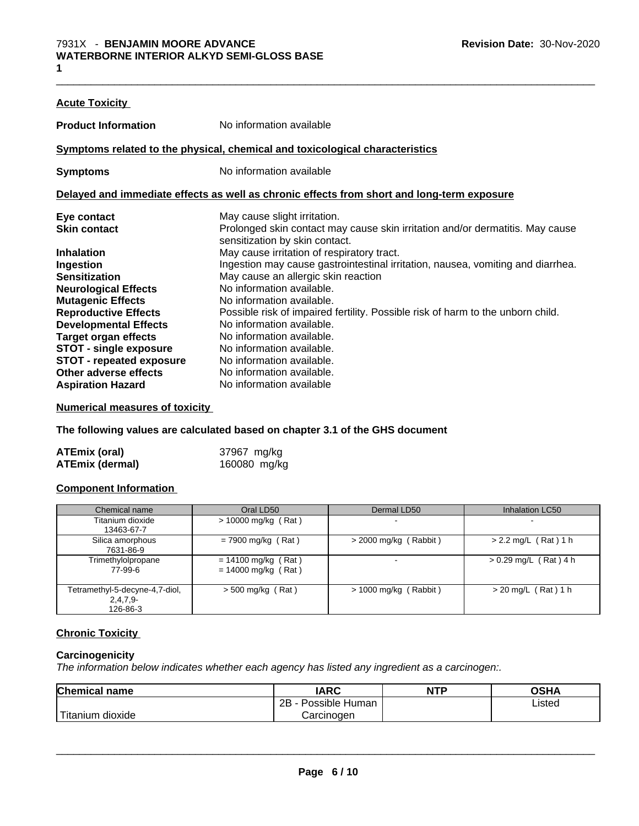| <b>Acute Toxicity</b>           |                                                                                                                 |
|---------------------------------|-----------------------------------------------------------------------------------------------------------------|
| <b>Product Information</b>      | No information available                                                                                        |
|                                 | Symptoms related to the physical, chemical and toxicological characteristics                                    |
| <b>Symptoms</b>                 | No information available                                                                                        |
|                                 | Delayed and immediate effects as well as chronic effects from short and long-term exposure                      |
| Eye contact                     | May cause slight irritation.                                                                                    |
| <b>Skin contact</b>             | Prolonged skin contact may cause skin irritation and/or dermatitis. May cause<br>sensitization by skin contact. |
| <b>Inhalation</b>               | May cause irritation of respiratory tract.                                                                      |
| Ingestion                       | Ingestion may cause gastrointestinal irritation, nausea, vomiting and diarrhea.                                 |
| <b>Sensitization</b>            | May cause an allergic skin reaction                                                                             |
| <b>Neurological Effects</b>     | No information available.                                                                                       |
| <b>Mutagenic Effects</b>        | No information available.                                                                                       |
| <b>Reproductive Effects</b>     | Possible risk of impaired fertility. Possible risk of harm to the unborn child.                                 |
| <b>Developmental Effects</b>    | No information available.                                                                                       |
| <b>Target organ effects</b>     | No information available.                                                                                       |
| <b>STOT - single exposure</b>   | No information available.                                                                                       |
| <b>STOT - repeated exposure</b> | No information available.                                                                                       |
| Other adverse effects           | No information available.                                                                                       |
| <b>Aspiration Hazard</b>        | No information available                                                                                        |

 $\_$  ,  $\_$  ,  $\_$  ,  $\_$  ,  $\_$  ,  $\_$  ,  $\_$  ,  $\_$  ,  $\_$  ,  $\_$  ,  $\_$  ,  $\_$  ,  $\_$  ,  $\_$  ,  $\_$  ,  $\_$  ,  $\_$  ,  $\_$  ,  $\_$  ,  $\_$  ,  $\_$  ,  $\_$  ,  $\_$  ,  $\_$  ,  $\_$  ,  $\_$  ,  $\_$  ,  $\_$  ,  $\_$  ,  $\_$  ,  $\_$  ,  $\_$  ,  $\_$  ,  $\_$  ,  $\_$  ,  $\_$  ,  $\_$  ,

# **Numerical measures of toxicity**

**The following values are calculated based on chapter 3.1 of the GHS document**

| <b>ATEmix (oral)</b>   | 37967 mg/kg  |
|------------------------|--------------|
| <b>ATEmix (dermal)</b> | 160080 mg/kg |

# **Component Information**

| Chemical name                                            | Oral LD50                                      | Dermal LD50              | Inhalation LC50          |
|----------------------------------------------------------|------------------------------------------------|--------------------------|--------------------------|
| Titanium dioxide<br>13463-67-7                           | $> 10000$ mg/kg (Rat)                          | -                        | $\overline{\phantom{0}}$ |
| Silica amorphous<br>7631-86-9                            | $= 7900$ mg/kg (Rat)                           | $>$ 2000 mg/kg (Rabbit)  | $> 2.2$ mg/L (Rat) 1 h   |
| Trimethylolpropane<br>77-99-6                            | $= 14100$ mg/kg (Rat)<br>$= 14000$ mg/kg (Rat) | $\overline{\phantom{0}}$ | $> 0.29$ mg/L (Rat) 4 h  |
| Tetramethyl-5-decyne-4,7-diol,<br>$2,4,7,9-$<br>126-86-3 | $> 500$ mg/kg (Rat)                            | $> 1000$ mg/kg (Rabbit)  | $>$ 20 mg/L (Rat) 1 h    |

# **Chronic Toxicity**

# **Carcinogenicity**

*The information below indicateswhether each agency has listed any ingredient as a carcinogen:.*

| <b>Chemical name</b>        | <b>IARC</b>                  | <b>NTP</b> | <b>OSHA</b> |  |
|-----------------------------|------------------------------|------------|-------------|--|
|                             | .<br>2B<br>Possible<br>Human |            | Listed<br>. |  |
| $-$<br>dioxide<br>l itanium | Carcinoɑen                   |            |             |  |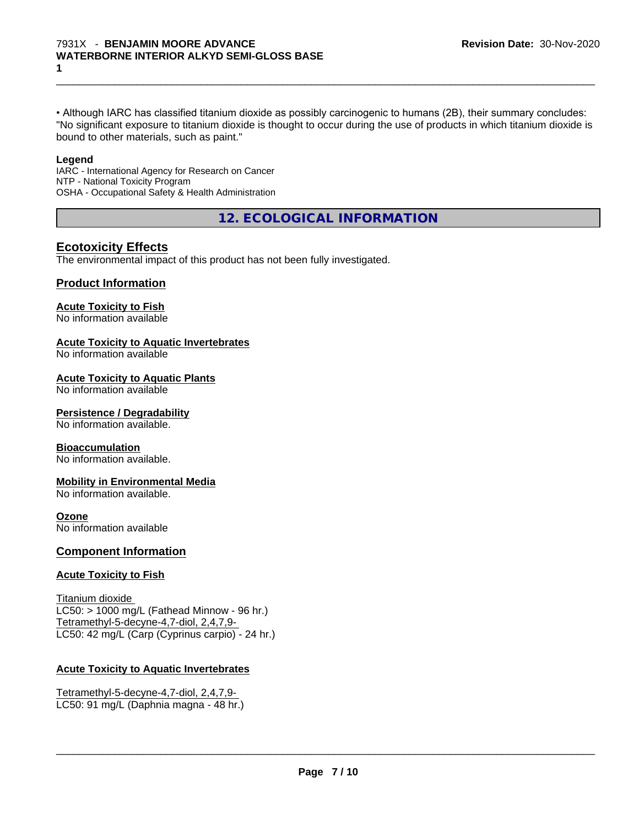• Although IARC has classified titanium dioxide as possibly carcinogenic to humans (2B), their summary concludes: "No significant exposure to titanium dioxide is thought to occur during the use of products in which titanium dioxide is bound to other materials, such as paint."

 $\_$  ,  $\_$  ,  $\_$  ,  $\_$  ,  $\_$  ,  $\_$  ,  $\_$  ,  $\_$  ,  $\_$  ,  $\_$  ,  $\_$  ,  $\_$  ,  $\_$  ,  $\_$  ,  $\_$  ,  $\_$  ,  $\_$  ,  $\_$  ,  $\_$  ,  $\_$  ,  $\_$  ,  $\_$  ,  $\_$  ,  $\_$  ,  $\_$  ,  $\_$  ,  $\_$  ,  $\_$  ,  $\_$  ,  $\_$  ,  $\_$  ,  $\_$  ,  $\_$  ,  $\_$  ,  $\_$  ,  $\_$  ,  $\_$  ,

#### **Legend**

IARC - International Agency for Research on Cancer NTP - National Toxicity Program OSHA - Occupational Safety & Health Administration

**12. ECOLOGICAL INFORMATION**

# **Ecotoxicity Effects**

The environmental impact of this product has not been fully investigated.

# **Product Information**

# **Acute Toxicity to Fish**

No information available

# **Acute Toxicity to Aquatic Invertebrates**

No information available

# **Acute Toxicity to Aquatic Plants**

No information available

# **Persistence / Degradability**

No information available.

# **Bioaccumulation**

No information available.

# **Mobility in Environmental Media**

No information available.

# **Ozone**

No information available

# **Component Information**

# **Acute Toxicity to Fish**

Titanium dioxide  $LC50:$  > 1000 mg/L (Fathead Minnow - 96 hr.) Tetramethyl-5-decyne-4,7-diol, 2,4,7,9- LC50: 42 mg/L (Carp (Cyprinus carpio) - 24 hr.)

# **Acute Toxicity to Aquatic Invertebrates**

Tetramethyl-5-decyne-4,7-diol, 2,4,7,9- LC50: 91 mg/L (Daphnia magna - 48 hr.)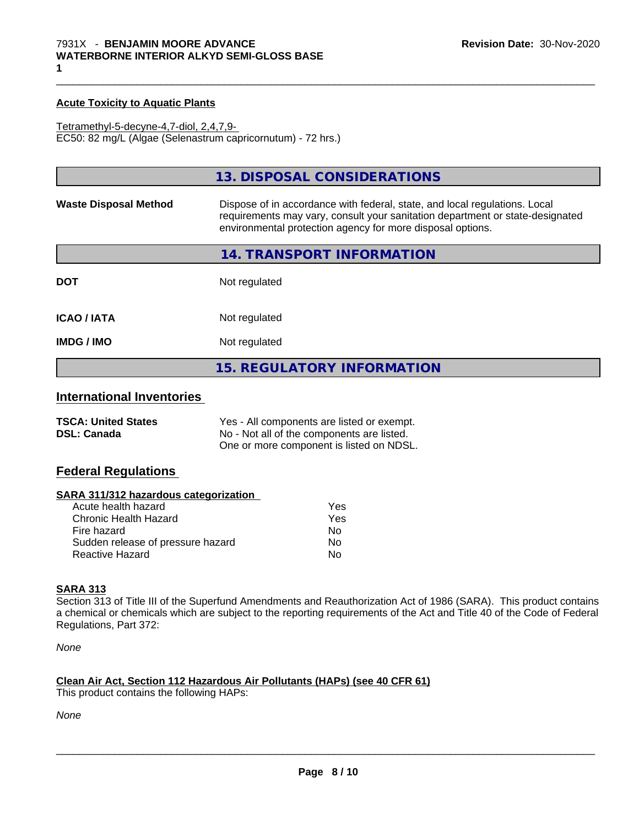# **Acute Toxicity to Aquatic Plants**

Tetramethyl-5-decyne-4,7-diol, 2,4,7,9- EC50: 82 mg/L (Algae (Selenastrum capricornutum) - 72 hrs.)

|                              | 13. DISPOSAL CONSIDERATIONS                                                                                                                                                                                               |
|------------------------------|---------------------------------------------------------------------------------------------------------------------------------------------------------------------------------------------------------------------------|
| <b>Waste Disposal Method</b> | Dispose of in accordance with federal, state, and local regulations. Local<br>requirements may vary, consult your sanitation department or state-designated<br>environmental protection agency for more disposal options. |
|                              | 14. TRANSPORT INFORMATION                                                                                                                                                                                                 |
| <b>DOT</b>                   | Not regulated                                                                                                                                                                                                             |
| <b>ICAO / IATA</b>           | Not regulated                                                                                                                                                                                                             |
| <b>IMDG / IMO</b>            | Not regulated                                                                                                                                                                                                             |
|                              | <b>15. REGULATORY INFORMATION</b>                                                                                                                                                                                         |

 $\_$  ,  $\_$  ,  $\_$  ,  $\_$  ,  $\_$  ,  $\_$  ,  $\_$  ,  $\_$  ,  $\_$  ,  $\_$  ,  $\_$  ,  $\_$  ,  $\_$  ,  $\_$  ,  $\_$  ,  $\_$  ,  $\_$  ,  $\_$  ,  $\_$  ,  $\_$  ,  $\_$  ,  $\_$  ,  $\_$  ,  $\_$  ,  $\_$  ,  $\_$  ,  $\_$  ,  $\_$  ,  $\_$  ,  $\_$  ,  $\_$  ,  $\_$  ,  $\_$  ,  $\_$  ,  $\_$  ,  $\_$  ,  $\_$  ,

# **International Inventories**

| <b>TSCA: United States</b> | Yes - All components are listed or exempt. |
|----------------------------|--------------------------------------------|
| <b>DSL: Canada</b>         | No - Not all of the components are listed. |
|                            | One or more component is listed on NDSL.   |

# **Federal Regulations**

# **SARA 311/312 hazardous categorization**

| Acute health hazard               | Yes |
|-----------------------------------|-----|
| Chronic Health Hazard             | Yes |
| Fire hazard                       | N٥  |
| Sudden release of pressure hazard | Nο  |
| Reactive Hazard                   | N٥  |

# **SARA 313**

Section 313 of Title III of the Superfund Amendments and Reauthorization Act of 1986 (SARA). This product contains a chemical or chemicals which are subject to the reporting requirements of the Act and Title 40 of the Code of Federal Regulations, Part 372:

*None*

# **Clean Air Act,Section 112 Hazardous Air Pollutants (HAPs) (see 40 CFR 61)**

This product contains the following HAPs:

*None*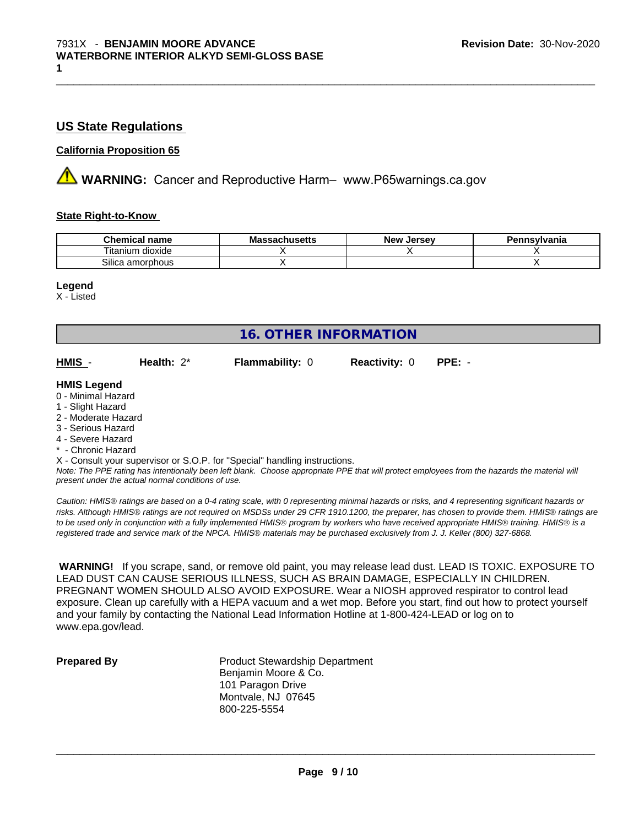# **US State Regulations**

# **California Proposition 65**

**AVIMARNING:** Cancer and Reproductive Harm– www.P65warnings.ca.gov

# **State Right-to-Know**

| Chemical<br>name          | .v.a | <b>Jersev</b><br>– New∶ | าnsvlvania |
|---------------------------|------|-------------------------|------------|
| dioxide<br>l itanıum      |      |                         |            |
| ~…<br>amorphous<br>ilic2. |      |                         |            |

 $\_$  ,  $\_$  ,  $\_$  ,  $\_$  ,  $\_$  ,  $\_$  ,  $\_$  ,  $\_$  ,  $\_$  ,  $\_$  ,  $\_$  ,  $\_$  ,  $\_$  ,  $\_$  ,  $\_$  ,  $\_$  ,  $\_$  ,  $\_$  ,  $\_$  ,  $\_$  ,  $\_$  ,  $\_$  ,  $\_$  ,  $\_$  ,  $\_$  ,  $\_$  ,  $\_$  ,  $\_$  ,  $\_$  ,  $\_$  ,  $\_$  ,  $\_$  ,  $\_$  ,  $\_$  ,  $\_$  ,  $\_$  ,  $\_$  ,

#### **Legend**

X - Listed

| <b>16. OTHER INFORMATION</b>                                                                                                                          |                                                    |                                                                            |                      |                                                                                                                                               |
|-------------------------------------------------------------------------------------------------------------------------------------------------------|----------------------------------------------------|----------------------------------------------------------------------------|----------------------|-----------------------------------------------------------------------------------------------------------------------------------------------|
| HMIS -                                                                                                                                                | Health: $2^*$                                      | <b>Flammability: 0</b>                                                     | <b>Reactivity: 0</b> | $PPE: -$                                                                                                                                      |
| <b>HMIS Legend</b><br>0 - Minimal Hazard<br>1 - Slight Hazard<br>2 - Moderate Hazard<br>3 - Serious Hazard<br>4 - Severe Hazard<br>* - Chronic Hazard |                                                    |                                                                            |                      |                                                                                                                                               |
|                                                                                                                                                       | present under the actual normal conditions of use. | X - Consult your supervisor or S.O.P. for "Special" handling instructions. |                      | Note: The PPE rating has intentionally been left blank. Choose appropriate PPE that will protect employees from the hazards the material will |

*Caution: HMISÒ ratings are based on a 0-4 rating scale, with 0 representing minimal hazards or risks, and 4 representing significant hazards or risks. Although HMISÒ ratings are not required on MSDSs under 29 CFR 1910.1200, the preparer, has chosen to provide them. HMISÒ ratings are to be used only in conjunction with a fully implemented HMISÒ program by workers who have received appropriate HMISÒ training. HMISÒ is a registered trade and service mark of the NPCA. HMISÒ materials may be purchased exclusively from J. J. Keller (800) 327-6868.*

 **WARNING!** If you scrape, sand, or remove old paint, you may release lead dust. LEAD IS TOXIC. EXPOSURE TO LEAD DUST CAN CAUSE SERIOUS ILLNESS, SUCH AS BRAIN DAMAGE, ESPECIALLY IN CHILDREN. PREGNANT WOMEN SHOULD ALSO AVOID EXPOSURE. Wear a NIOSH approved respirator to control lead exposure. Clean up carefully with a HEPA vacuum and a wet mop. Before you start, find out how to protect yourself and your family by contacting the National Lead Information Hotline at 1-800-424-LEAD or log on to www.epa.gov/lead.

**Prepared By** Product Stewardship Department Benjamin Moore & Co. 101 Paragon Drive Montvale, NJ 07645 800-225-5554